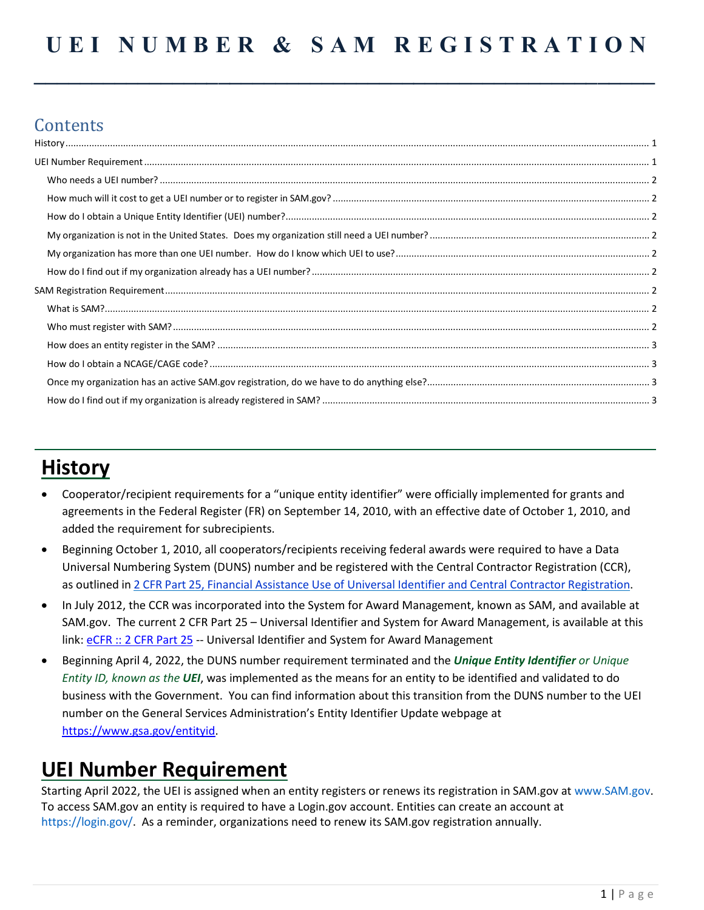**\_\_\_\_\_\_\_\_\_\_\_\_\_\_\_\_\_\_\_\_\_\_\_\_\_\_\_\_\_\_\_\_\_\_\_\_\_\_\_\_\_\_\_\_\_\_\_\_\_\_\_\_\_\_**

## **Contents**

# **History**

<span id="page-0-0"></span>

- Cooperator/recipient requirements for a "unique entity identifier" were officially implemented for grants and agreements in the Federal Register (FR) on September 14, 2010, with an effective date of October 1, 2010, and added the requirement for subrecipients.
- Beginning October 1, 2010, all cooperators/recipients receiving federal awards were required to have a Data Universal Numbering System (DUNS) number and be registered with the Central Contractor Registration (CCR), as outlined in 2 CFR Part 25, Financial Assistance Use of Universal Identifier and Central Contractor [Registration.](http://edocket.access.gpo.gov/2010/pdf/2010-22706.pdf)
- In July 2012, the CCR was incorporated into the System for Award Management, known as SAM, and available at SAM.gov. The current 2 CFR Part 25 – Universal Identifier and System for Award Management, is available at this link: [eCFR :: 2 CFR Part 25](https://www.ecfr.gov/current/title-2/subtitle-A/chapter-I/part-25?msclkid=0836670aac5c11ecb8c07e07c9036509) -- Universal Identifier and System for Award Management
- Beginning April 4, 2022, the DUNS number requirement terminated and the *Unique Entity Identifier or Unique Entity ID, known as the UEI*, was implemented as the means for an entity to be identified and validated to do business with the Government. You can find information about this transition from the DUNS number to the UEI number on the General Services Administration's Entity Identifier Update webpage at [https://www.gsa.gov/entityid.](https://www.gsa.gov/entityid)

## <span id="page-0-1"></span>**UEI Number Requirement**

<span id="page-0-2"></span>Starting April 2022, the UEI is assigned when an entity registers or renews its registration in SAM.gov at www.SAM.gov. To access SAM.gov an entity is required to have a Login.gov account. Entities can create an account at https://login.gov/. As a reminder, organizations need to renew its SAM.gov registration annually.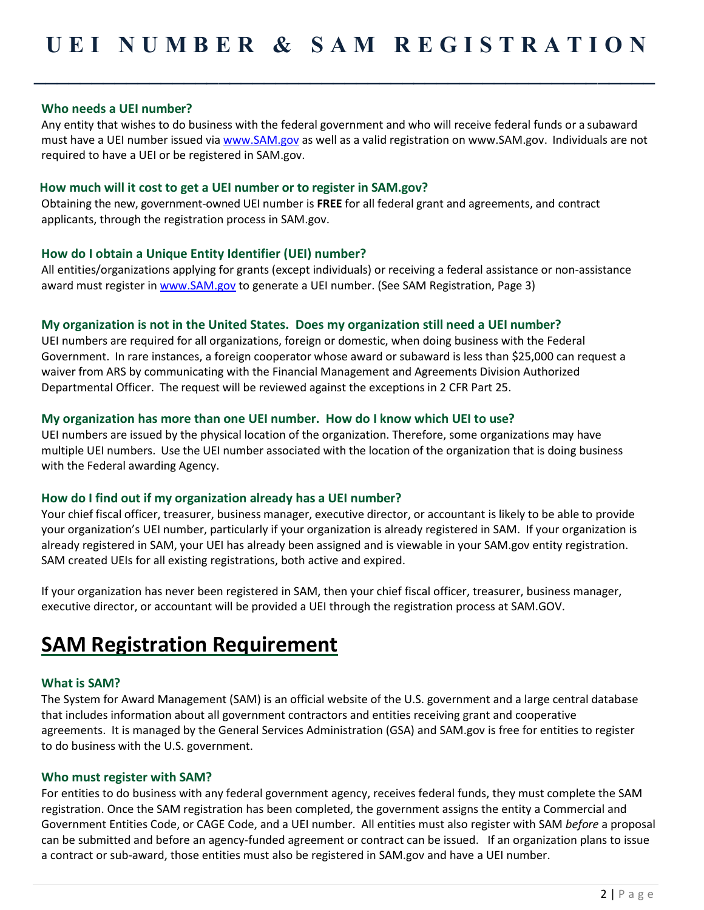**\_\_\_\_\_\_\_\_\_\_\_\_\_\_\_\_\_\_\_\_\_\_\_\_\_\_\_\_\_\_\_\_\_\_\_\_\_\_\_\_\_\_\_\_\_\_\_\_\_\_\_\_\_\_**

## **Who needs a UEI number?**

Any entity that wishes to do business with the federal government and who will receive federal funds or a subaward must have a UEI number issued via [www.SAM.gov](http://www.sam.gov/) as well as a valid registration on www.SAM.gov. Individuals are not required to have a UEI or be registered in SAM.gov.

#### <span id="page-1-0"></span>**How much will it cost to get a UEI number or to register in SAM.gov?**

Obtaining the new, government-owned UEI number is **FREE** for all federal grant and agreements, and contract applicants, through the registration process in SAM.gov.

## <span id="page-1-1"></span>**How do I obtain a Unique Entity Identifier (UEI) number?**

All entities/organizations applying for grants (except individuals) or receiving a federal assistance or non-assistance award must register in [www.SAM.gov](http://www.sam.gov/) to generate a UEI number. (See SAM Registration, Page 3)

## <span id="page-1-2"></span>**My organization is not in the United States. Does my organization still need a UEI number?**

UEI numbers are required for all organizations, foreign or domestic, when doing business with the Federal Government. In rare instances, a foreign cooperator whose award or subaward is less than \$25,000 can request a waiver from ARS by communicating with the Financial Management and Agreements Division Authorized Departmental Officer. The request will be reviewed against the exceptions in 2 CFR Part 25.

#### <span id="page-1-3"></span>**My organization has more than one UEI number. How do I know which UEI to use?**

UEI numbers are issued by the physical location of the organization. Therefore, some organizations may have multiple UEI numbers. Use the UEI number associated with the location of the organization that is doing business with the Federal awarding Agency.

#### <span id="page-1-4"></span>**How do I find out if my organization already has a UEI number?**

Your chief fiscal officer, treasurer, business manager, executive director, or accountant is likely to be able to provide your organization's UEI number, particularly if your organization is already registered in SAM. If your organization is already registered in SAM, your UEI has already been assigned and is viewable in your SAM.gov entity registration. SAM created UEIs for all existing registrations, both active and expired.

If your organization has never been registered in SAM, then your chief fiscal officer, treasurer, business manager, executive director, or accountant will be provided a UEI through the registration process at SAM.GOV.

## <span id="page-1-5"></span>**SAM Registration Requirement**

## <span id="page-1-6"></span>**What is SAM?**

The System for Award Management (SAM) is an official website of the U.S. government and a large central database that includes information about all government contractors and entities receiving grant and cooperative agreements. It is managed by the General Services Administration (GSA) and SAM.gov is free for entities to register to do business with the U.S. government.

#### <span id="page-1-7"></span>**Who must register with SAM?**

For entities to do business with any federal government agency, receives federal funds, they must complete the SAM registration. Once the SAM registration has been completed, the government assigns the entity a Commercial and Government Entities Code, or CAGE Code, and a UEI number. All entities must also register with SAM *before* a proposal can be submitted and before an agency-funded agreement or contract can be issued. If an organization plans to issue a contract or sub-award, those entities must also be registered in SAM.gov and have a UEI number.